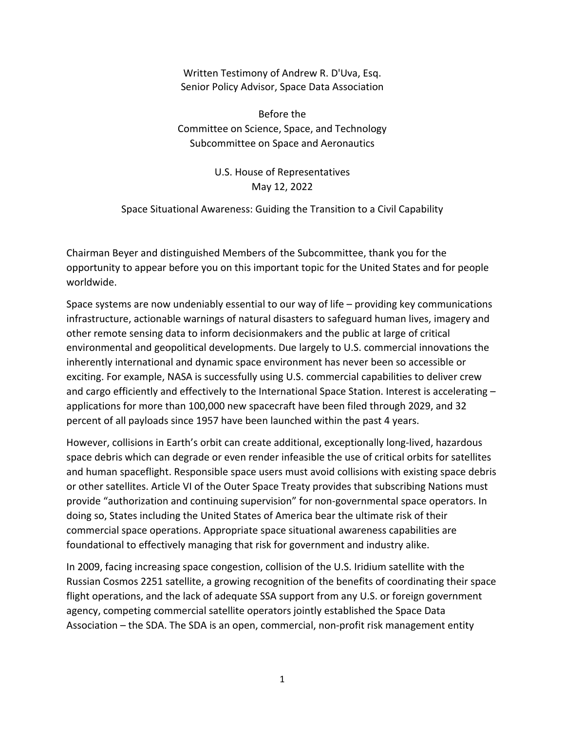Written Testimony of Andrew R. D'Uva, Esq. Senior Policy Advisor, Space Data Association

Before the Committee on Science, Space, and Technology Subcommittee on Space and Aeronautics

## U.S. House of Representatives May 12, 2022

Space Situational Awareness: Guiding the Transition to a Civil Capability

Chairman Beyer and distinguished Members of the Subcommittee, thank you for the opportunity to appear before you on this important topic for the United States and for people worldwide.

Space systems are now undeniably essential to our way of life – providing key communications infrastructure, actionable warnings of natural disasters to safeguard human lives, imagery and other remote sensing data to inform decisionmakers and the public at large of critical environmental and geopolitical developments. Due largely to U.S. commercial innovations the inherently international and dynamic space environment has never been so accessible or exciting. For example, NASA is successfully using U.S. commercial capabilities to deliver crew and cargo efficiently and effectively to the International Space Station. Interest is accelerating – applications for more than 100,000 new spacecraft have been filed through 2029, and 32 percent of all payloads since 1957 have been launched within the past 4 years.

However, collisions in Earth's orbit can create additional, exceptionally long‐lived, hazardous space debris which can degrade or even render infeasible the use of critical orbits for satellites and human spaceflight. Responsible space users must avoid collisions with existing space debris or other satellites. Article VI of the Outer Space Treaty provides that subscribing Nations must provide "authorization and continuing supervision" for non‐governmental space operators. In doing so, States including the United States of America bear the ultimate risk of their commercial space operations. Appropriate space situational awareness capabilities are foundational to effectively managing that risk for government and industry alike.

In 2009, facing increasing space congestion, collision of the U.S. Iridium satellite with the Russian Cosmos 2251 satellite, a growing recognition of the benefits of coordinating their space flight operations, and the lack of adequate SSA support from any U.S. or foreign government agency, competing commercial satellite operators jointly established the Space Data Association – the SDA. The SDA is an open, commercial, non‐profit risk management entity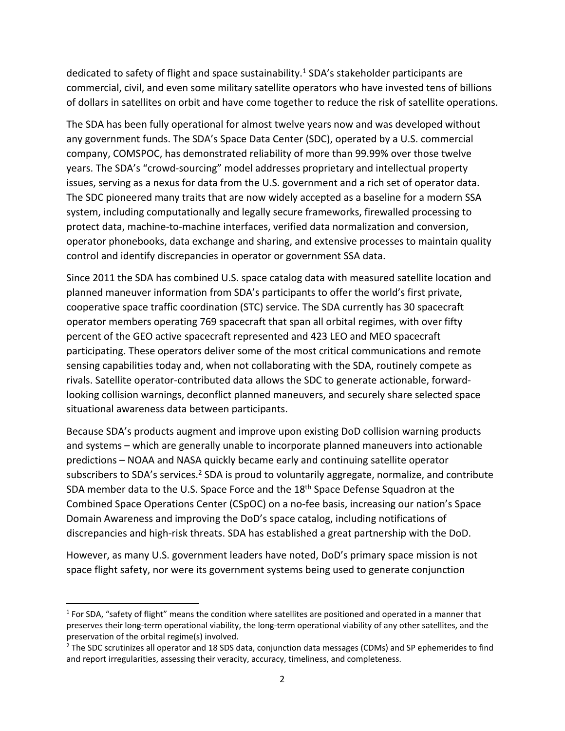dedicated to safety of flight and space sustainability.<sup>1</sup> SDA's stakeholder participants are commercial, civil, and even some military satellite operators who have invested tens of billions of dollars in satellites on orbit and have come together to reduce the risk of satellite operations.

The SDA has been fully operational for almost twelve years now and was developed without any government funds. The SDA's Space Data Center (SDC), operated by a U.S. commercial company, COMSPOC, has demonstrated reliability of more than 99.99% over those twelve years. The SDA's "crowd‐sourcing" model addresses proprietary and intellectual property issues, serving as a nexus for data from the U.S. government and a rich set of operator data. The SDC pioneered many traits that are now widely accepted as a baseline for a modern SSA system, including computationally and legally secure frameworks, firewalled processing to protect data, machine‐to‐machine interfaces, verified data normalization and conversion, operator phonebooks, data exchange and sharing, and extensive processes to maintain quality control and identify discrepancies in operator or government SSA data.

Since 2011 the SDA has combined U.S. space catalog data with measured satellite location and planned maneuver information from SDA's participants to offer the world's first private, cooperative space traffic coordination (STC) service. The SDA currently has 30 spacecraft operator members operating 769 spacecraft that span all orbital regimes, with over fifty percent of the GEO active spacecraft represented and 423 LEO and MEO spacecraft participating. These operators deliver some of the most critical communications and remote sensing capabilities today and, when not collaborating with the SDA, routinely compete as rivals. Satellite operator‐contributed data allows the SDC to generate actionable, forward‐ looking collision warnings, deconflict planned maneuvers, and securely share selected space situational awareness data between participants.

Because SDA's products augment and improve upon existing DoD collision warning products and systems – which are generally unable to incorporate planned maneuvers into actionable predictions – NOAA and NASA quickly became early and continuing satellite operator subscribers to SDA's services.<sup>2</sup> SDA is proud to voluntarily aggregate, normalize, and contribute SDA member data to the U.S. Space Force and the 18<sup>th</sup> Space Defense Squadron at the Combined Space Operations Center (CSpOC) on a no‐fee basis, increasing our nation's Space Domain Awareness and improving the DoD's space catalog, including notifications of discrepancies and high-risk threats. SDA has established a great partnership with the DoD.

However, as many U.S. government leaders have noted, DoD's primary space mission is not space flight safety, nor were its government systems being used to generate conjunction

 $1$  For SDA, "safety of flight" means the condition where satellites are positioned and operated in a manner that preserves their long‐term operational viability, the long‐term operational viability of any other satellites, and the preservation of the orbital regime(s) involved.

<sup>&</sup>lt;sup>2</sup> The SDC scrutinizes all operator and 18 SDS data, conjunction data messages (CDMs) and SP ephemerides to find and report irregularities, assessing their veracity, accuracy, timeliness, and completeness.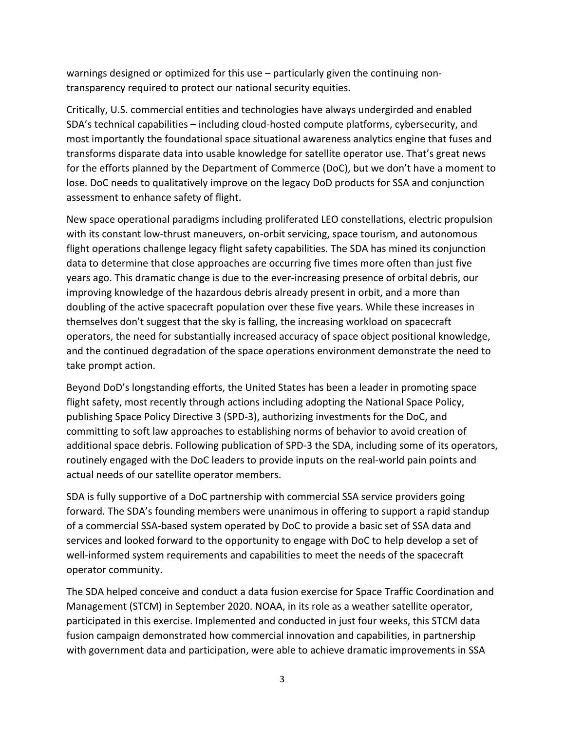warnings designed or optimized for this use – particularly given the continuing nontransparency required to protect our national security equities.

Critically, U.S. commercial entities and technologies have always undergirded and enabled SDA's technical capabilities – including cloud‐hosted compute platforms, cybersecurity, and most importantly the foundational space situational awareness analytics engine that fuses and transforms disparate data into usable knowledge for satellite operator use. That's great news for the efforts planned by the Department of Commerce (DoC), but we don't have a moment to lose. DoC needs to qualitatively improve on the legacy DoD products for SSA and conjunction assessment to enhance safety of flight.

New space operational paradigms including proliferated LEO constellations, electric propulsion with its constant low-thrust maneuvers, on-orbit servicing, space tourism, and autonomous flight operations challenge legacy flight safety capabilities. The SDA has mined its conjunction data to determine that close approaches are occurring five times more often than just five years ago. This dramatic change is due to the ever‐increasing presence of orbital debris, our improving knowledge of the hazardous debris already present in orbit, and a more than doubling of the active spacecraft population over these five years. While these increases in themselves don't suggest that the sky is falling, the increasing workload on spacecraft operators, the need for substantially increased accuracy of space object positional knowledge, and the continued degradation of the space operations environment demonstrate the need to take prompt action.

Beyond DoD's longstanding efforts, the United States has been a leader in promoting space flight safety, most recently through actions including adopting the National Space Policy, publishing Space Policy Directive 3 (SPD‐3), authorizing investments for the DoC, and committing to soft law approaches to establishing norms of behavior to avoid creation of additional space debris. Following publication of SPD‐3 the SDA, including some of its operators, routinely engaged with the DoC leaders to provide inputs on the real‐world pain points and actual needs of our satellite operator members.

SDA is fully supportive of a DoC partnership with commercial SSA service providers going forward. The SDA's founding members were unanimous in offering to support a rapid standup of a commercial SSA‐based system operated by DoC to provide a basic set of SSA data and services and looked forward to the opportunity to engage with DoC to help develop a set of well-informed system requirements and capabilities to meet the needs of the spacecraft operator community.

The SDA helped conceive and conduct a data fusion exercise for Space Traffic Coordination and Management (STCM) in September 2020. NOAA, in its role as a weather satellite operator, participated in this exercise. Implemented and conducted in just four weeks, this STCM data fusion campaign demonstrated how commercial innovation and capabilities, in partnership with government data and participation, were able to achieve dramatic improvements in SSA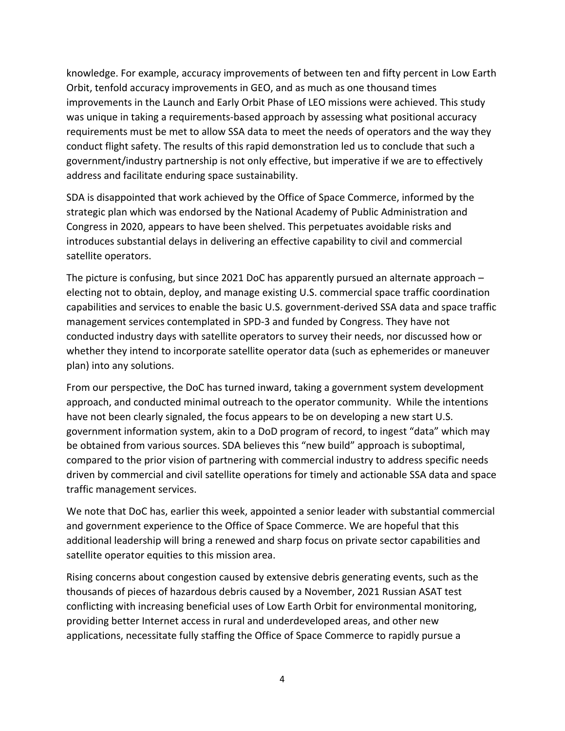knowledge. For example, accuracy improvements of between ten and fifty percent in Low Earth Orbit, tenfold accuracy improvements in GEO, and as much as one thousand times improvements in the Launch and Early Orbit Phase of LEO missions were achieved. This study was unique in taking a requirements-based approach by assessing what positional accuracy requirements must be met to allow SSA data to meet the needs of operators and the way they conduct flight safety. The results of this rapid demonstration led us to conclude that such a government/industry partnership is not only effective, but imperative if we are to effectively address and facilitate enduring space sustainability.

SDA is disappointed that work achieved by the Office of Space Commerce, informed by the strategic plan which was endorsed by the National Academy of Public Administration and Congress in 2020, appears to have been shelved. This perpetuates avoidable risks and introduces substantial delays in delivering an effective capability to civil and commercial satellite operators.

The picture is confusing, but since 2021 DoC has apparently pursued an alternate approach – electing not to obtain, deploy, and manage existing U.S. commercial space traffic coordination capabilities and services to enable the basic U.S. government‐derived SSA data and space traffic management services contemplated in SPD‐3 and funded by Congress. They have not conducted industry days with satellite operators to survey their needs, nor discussed how or whether they intend to incorporate satellite operator data (such as ephemerides or maneuver plan) into any solutions.

From our perspective, the DoC has turned inward, taking a government system development approach, and conducted minimal outreach to the operator community. While the intentions have not been clearly signaled, the focus appears to be on developing a new start U.S. government information system, akin to a DoD program of record, to ingest "data" which may be obtained from various sources. SDA believes this "new build" approach is suboptimal, compared to the prior vision of partnering with commercial industry to address specific needs driven by commercial and civil satellite operations for timely and actionable SSA data and space traffic management services.

We note that DoC has, earlier this week, appointed a senior leader with substantial commercial and government experience to the Office of Space Commerce. We are hopeful that this additional leadership will bring a renewed and sharp focus on private sector capabilities and satellite operator equities to this mission area.

Rising concerns about congestion caused by extensive debris generating events, such as the thousands of pieces of hazardous debris caused by a November, 2021 Russian ASAT test conflicting with increasing beneficial uses of Low Earth Orbit for environmental monitoring, providing better Internet access in rural and underdeveloped areas, and other new applications, necessitate fully staffing the Office of Space Commerce to rapidly pursue a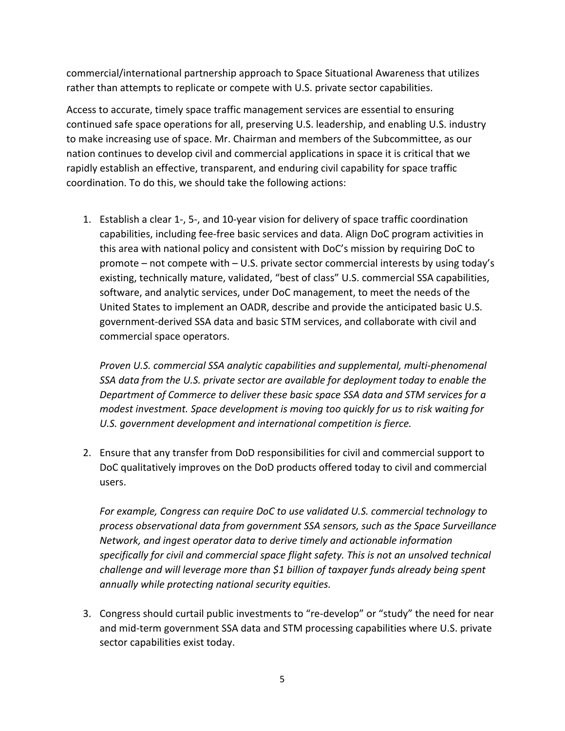commercial/international partnership approach to Space Situational Awareness that utilizes rather than attempts to replicate or compete with U.S. private sector capabilities.

Access to accurate, timely space traffic management services are essential to ensuring continued safe space operations for all, preserving U.S. leadership, and enabling U.S. industry to make increasing use of space. Mr. Chairman and members of the Subcommittee, as our nation continues to develop civil and commercial applications in space it is critical that we rapidly establish an effective, transparent, and enduring civil capability for space traffic coordination. To do this, we should take the following actions:

1. Establish a clear 1‐, 5‐, and 10‐year vision for delivery of space traffic coordination capabilities, including fee‐free basic services and data. Align DoC program activities in this area with national policy and consistent with DoC's mission by requiring DoC to promote – not compete with – U.S. private sector commercial interests by using today's existing, technically mature, validated, "best of class" U.S. commercial SSA capabilities, software, and analytic services, under DoC management, to meet the needs of the United States to implement an OADR, describe and provide the anticipated basic U.S. government‐derived SSA data and basic STM services, and collaborate with civil and commercial space operators.

*Proven U.S. commercial SSA analytic capabilities and supplemental, multi‐phenomenal SSA data from the U.S. private sector are available for deployment today to enable the Department of Commerce to deliver these basic space SSA data and STM services for a modest investment. Space development is moving too quickly for us to risk waiting for U.S. government development and international competition is fierce.*

2. Ensure that any transfer from DoD responsibilities for civil and commercial support to DoC qualitatively improves on the DoD products offered today to civil and commercial users.

*For example, Congress can require DoC to use validated U.S. commercial technology to process observational data from government SSA sensors, such as the Space Surveillance Network, and ingest operator data to derive timely and actionable information specifically for civil and commercial space flight safety. This is not an unsolved technical challenge and will leverage more than \$1 billion of taxpayer funds already being spent annually while protecting national security equities.*

3. Congress should curtail public investments to "re-develop" or "study" the need for near and mid‐term government SSA data and STM processing capabilities where U.S. private sector capabilities exist today.